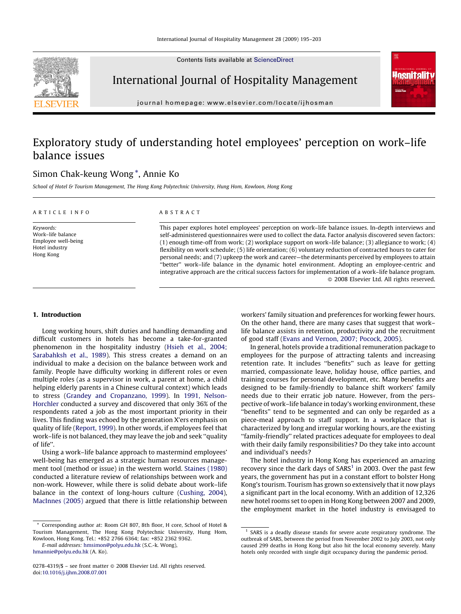Contents lists available at [ScienceDirect](http://www.sciencedirect.com/science/journal/02784319)





International Journal of Hospitality Management

journal homepage: www.elsevier.com/locate/ijhosman

## Exploratory study of understanding hotel employees' perception on work–life balance issues

### Simon Chak-keung Wong \*, Annie Ko

School of Hotel & Tourism Management, The Hong Kong Polytechnic University, Hung Hom, Kowloon, Hong Kong

#### ARTICLE INFO

Keywords: Work–life balance Employee well-being Hotel industry Hong Kong

#### ABSTRACT

This paper explores hotel employees' perception on work–life balance issues. In-depth interviews and self-administered questionnaires were used to collect the data. Factor analysis discovered seven factors: (1) enough time-off from work; (2) workplace support on work–life balance; (3) allegiance to work; (4) flexibility on work schedule; (5) life orientation; (6) voluntary reduction of contracted hours to cater for personal needs; and (7) upkeep the work and career—the determinants perceived by employees to attain ''better'' work–life balance in the dynamic hotel environment. Adopting an employee-centric and integrative approach are the critical success factors for implementation of a work–life balance program. - 2008 Elsevier Ltd. All rights reserved.

#### 1. Introduction

Long working hours, shift duties and handling demanding and difficult customers in hotels has become a take-for-granted phenomenon in the hospitality industry ([Hsieh et al., 2004;](#page--1-0) [Sarabahksh et al., 1989](#page--1-0)). This stress creates a demand on an individual to make a decision on the balance between work and family. People have difficulty working in different roles or even multiple roles (as a supervisor in work, a parent at home, a child helping elderly parents in a Chinese cultural context) which leads to stress ([Grandey and Cropanzano, 1999](#page--1-0)). In [1991, Nelson-](#page--1-0)[Horchler](#page--1-0) conducted a survey and discovered that only 36% of the respondents rated a job as the most important priority in their lives. This finding was echoed by the generation X'ers emphasis on quality of life ([Report, 1999](#page--1-0)). In other words, if employees feel that work–life is not balanced, they may leave the job and seek ''quality of life''.

Using a work–life balance approach to mastermind employees' well-being has emerged as a strategic human resources management tool (method or issue) in the western world. [Staines \(1980\)](#page--1-0) conducted a literature review of relationships between work and non-work. However, while there is solid debate about work–life balance in the context of long-hours culture [\(Cushing, 2004\)](#page--1-0), [MacInnes \(2005\)](#page--1-0) argued that there is little relationship between

E-mail addresses: [hmsimon@polyu.edu.hk](mailto:hmsimon@polyu.edu.hk) (S.C.-k. Wong), [hmannie@polyu.edu.hk](mailto:hmannie@polyu.edu.hk) (A. Ko).

workers' family situation and preferences for working fewer hours. On the other hand, there are many cases that suggest that work– life balance assists in retention, productivity and the recruitment of good staff ([Evans and Vernon, 2007; Pocock, 2005](#page--1-0)).

In general, hotels provide a traditional remuneration package to employees for the purpose of attracting talents and increasing retention rate. It includes ''benefits'' such as leave for getting married, compassionate leave, holiday house, office parties, and training courses for personal development, etc. Many benefits are designed to be family-friendly to balance shift workers' family needs due to their erratic job nature. However, from the perspective of work–life balance in today's working environment, these ''benefits'' tend to be segmented and can only be regarded as a piece-meal approach to staff support. In a workplace that is characterized by long and irregular working hours, are the existing ''family-friendly'' related practices adequate for employees to deal with their daily family responsibilities? Do they take into account and individual's needs?

The hotel industry in Hong Kong has experienced an amazing recovery since the dark days of  $SARS<sup>1</sup>$  in 2003. Over the past few years, the government has put in a constant effort to bolster Hong Kong's tourism. Tourism has grown so extensively that it now plays a significant part in the local economy. With an addition of 12,326 new hotel rooms set to open in Hong Kong between 2007 and 2009, the employment market in the hotel industry is envisaged to

<sup>\*</sup> Corresponding author at: Room GH 807, 8th floor, H core, School of Hotel & Tourism Management, The Hong Kong Polytechnic University, Hung Hom, Kowloon, Hong Kong. Tel.: +852 2766 6364; fax: +852 2362 9362.

<sup>0278-4319/\$ –</sup> see front matter © 2008 Elsevier Ltd. All rights reserved. doi:[10.1016/j.ijhm.2008.07.001](http://dx.doi.org/10.1016/j.ijhm.2008.07.001)

 $1$  SARS is a deadly disease stands for severe acute respiratory syndrome. The outbreak of SARS, between the period from November 2002 to July 2003, not only caused 299 deaths in Hong Kong but also hit the local economy severely. Many hotels only recorded with single digit occupancy during the pandemic period.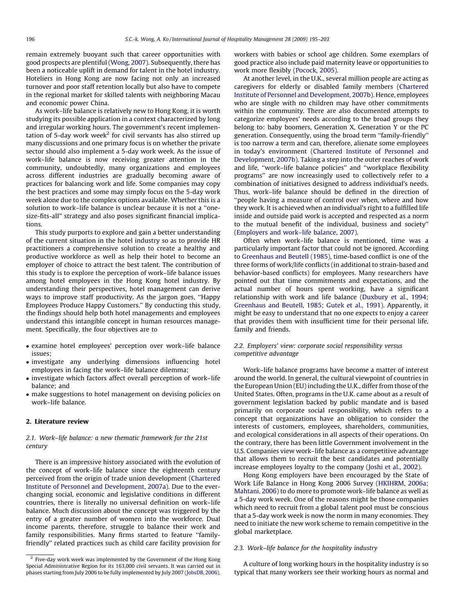remain extremely buoyant such that career opportunities with good prospects are plentiful [\(Wong, 2007\)](#page--1-0). Subsequently, there has been a noticeable uplift in demand for talent in the hotel industry. Hoteliers in Hong Kong are now facing not only an increased turnover and poor staff retention locally but also have to compete in the regional market for skilled talents with neighboring Macau and economic power China.

As work–life balance is relatively new to Hong Kong, it is worth studying its possible application in a context characterized by long and irregular working hours. The government's recent implementation of 5-day work week<sup>2</sup> for civil servants has also stirred up many discussions and one primary focus is on whether the private sector should also implement a 5-day work week. As the issue of work–life balance is now receiving greater attention in the community, undoubtedly, many organizations and employees across different industries are gradually becoming aware of practices for balancing work and life. Some companies may copy the best practices and some may simply focus on the 5-day work week alone due to the complex options available. Whether this is a solution to work–life balance is unclear because it is not a ''onesize-fits-all'' strategy and also poses significant financial implications.

This study purports to explore and gain a better understanding of the current situation in the hotel industry so as to provide HR practitioners a comprehensive solution to create a healthy and productive workforce as well as help their hotel to become an employer of choice to attract the best talent. The contribution of this study is to explore the perception of work–life balance issues among hotel employees in the Hong Kong hotel industry. By understanding their perspectives, hotel management can derive ways to improve staff productivity. As the jargon goes, ''Happy Employees Produce Happy Customers.'' By conducting this study, the findings should help both hotel managements and employees understand this intangible concept in human resources management. Specifically, the four objectives are to

- examine hotel employees' perception over work–life balance issues;
- investigate any underlying dimensions influencing hotel employees in facing the work–life balance dilemma;
- investigate which factors affect overall perception of work–life balance; and
- make suggestions to hotel management on devising policies on work–life balance.

#### 2. Literature review

#### 2.1. Work–life balance: a new thematic framework for the 21st century

There is an impressive history associated with the evolution of the concept of work–life balance since the eighteenth century perceived from the origin of trade union development [\(Chartered](#page--1-0) [Institute of Personnel and Development, 2007a](#page--1-0)). Due to the everchanging social, economic and legislative conditions in different countries, there is literally no universal definition on work–life balance. Much discussion about the concept was triggered by the entry of a greater number of women into the workforce. Dual income parents, therefore, struggle to balance their work and family responsibilities. Many firms started to feature ''familyfriendly'' related practices such as child care facility provision for workers with babies or school age children. Some exemplars of good practice also include paid maternity leave or opportunities to work more flexibly [\(Pocock, 2005](#page--1-0)).

At another level, in the U.K., several million people are acting as caregivers for elderly or disabled family members [\(Chartered](#page--1-0) [Institute of Personnel and Development, 2007b](#page--1-0)). Hence, employees who are single with no children may have other commitments within the community. There are also documented attempts to categorize employees' needs according to the broad groups they belong to: baby boomers, Generation X, Generation Y or the PC generation. Consequently, using the broad term ''family-friendly'' is too narrow a term and can, therefore, alienate some employees in today's environment ([Chartered Institute of Personnel and](#page--1-0) [Development, 2007b\)](#page--1-0). Taking a step into the outer reaches of work and life, ''work–life balance policies'' and ''workplace flexibility programs'' are now increasingly used to collectively refer to a combination of initiatives designed to address individual's needs. Thus, work–life balance should be defined in the direction of ''people having a measure of control over when, where and how they work. It is achieved when an individual's right to a fulfilled life inside and outside paid work is accepted and respected as a norm to the mutual benefit of the individual, business and society'' ([Employers and work–life balance, 2007](#page--1-0)).

Often when work–life balance is mentioned, time was a particularly important factor that could not be ignored. According to [Greenhaus and Beutell \(1985\),](#page--1-0) time-based conflict is one of the three forms of work/life conflicts (in additional to strain-based and behavior-based conflicts) for employees. Many researchers have pointed out that time commitments and expectations, and the actual number of hours spent working, have a significant relationship with work and life balance [\(Duxbury et al., 1994;](#page--1-0) [Greenhaus and Beutell, 1985; Gutek et al., 1991](#page--1-0)). Apparently, it might be easy to understand that no one expects to enjoy a career that provides them with insufficient time for their personal life, family and friends.

#### 2.2. Employers' view: corporate social responsibility versus competitive advantage

Work–life balance programs have become a matter of interest around the world. In general, the cultural viewpoint of countries in the European Union (EU) including the U.K., differ from those of the United States. Often, programs in the U.K. came about as a result of government legislation backed by public mandate and is based primarily on corporate social responsibility, which refers to a concept that organizations have an obligation to consider the interests of customers, employees, shareholders, communities, and ecological considerations in all aspects of their operations. On the contrary, there has been little Government involvement in the U.S. Companies view work–life balance as a competitive advantage that allows them to recruit the best candidates and potentially increase employees loyalty to the company [\(Joshi et al., 2002](#page--1-0)).

Hong Kong employers have been encouraged by the State of Work Life Balance in Hong Kong 2006 Survey ([HKIHRM, 2006a;](#page--1-0) [Mahtani, 2006](#page--1-0)) to do more to promote work–life balance as well as a 5-day work week. One of the reasons might be those companies which need to recruit from a global talent pool must be conscious that a 5-day work week is now the norm in many economies. They need to initiate the new work scheme to remain competitive in the global marketplace.

#### 2.3. Work–life balance for the hospitality industry

A culture of long working hours in the hospitality industry is so typical that many workers see their working hours as normal and

 $2$  Five-day work week was implemented by the Government of the Hong Kong Special Administrative Region for its 163,000 civil servants. It was carried out in phases starting from July 2006 to be fully implemented by July 2007 [\(JobsDB, 2006\)](#page--1-0).